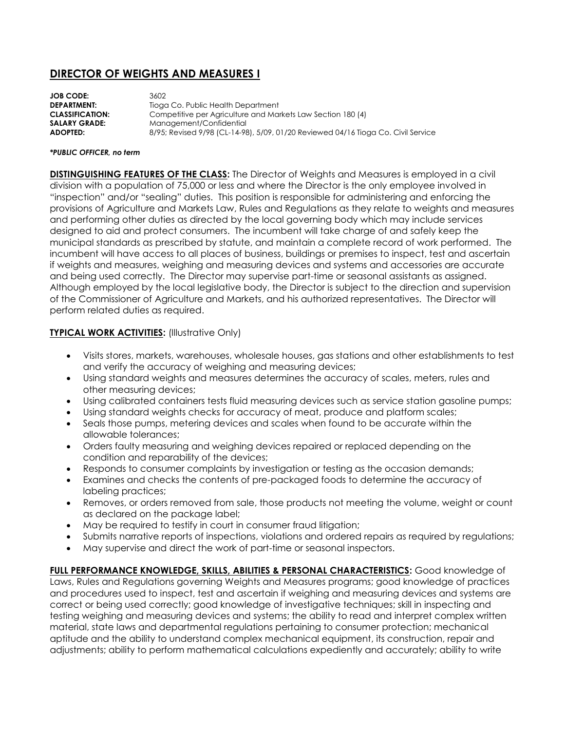## **DIRECTOR OF WEIGHTS AND MEASURES I**

| <b>JOB CODE:</b>       | 3602                                                                              |
|------------------------|-----------------------------------------------------------------------------------|
| <b>DEPARTMENT:</b>     | Tioga Co. Public Health Department                                                |
| <b>CLASSIFICATION:</b> | Competitive per Agriculture and Markets Law Section 180 (4)                       |
| <b>SALARY GRADE:</b>   | Management/Confidential                                                           |
| ADOPTED:               | 8/95; Revised 9/98 (CL-14-98), 5/09, 01/20 Reviewed 04/16 Tioga Co. Civil Service |
|                        |                                                                                   |

## *\*PUBLIC OFFICER, no term*

**DISTINGUISHING FEATURES OF THE CLASS:** The Director of Weights and Measures is employed in a civil division with a population of 75,000 or less and where the Director is the only employee involved in "inspection" and/or "sealing" duties. This position is responsible for administering and enforcing the provisions of Agriculture and Markets Law, Rules and Regulations as they relate to weights and measures and performing other duties as directed by the local governing body which may include services designed to aid and protect consumers. The incumbent will take charge of and safely keep the municipal standards as prescribed by statute, and maintain a complete record of work performed. The incumbent will have access to all places of business, buildings or premises to inspect, test and ascertain if weights and measures, weighing and measuring devices and systems and accessories are accurate and being used correctly. The Director may supervise part-time or seasonal assistants as assigned. Although employed by the local legislative body, the Director is subject to the direction and supervision of the Commissioner of Agriculture and Markets, and his authorized representatives. The Director will perform related duties as required.

## **TYPICAL WORK ACTIVITIES: (Illustrative Only)**

- Visits stores, markets, warehouses, wholesale houses, gas stations and other establishments to test and verify the accuracy of weighing and measuring devices;
- Using standard weights and measures determines the accuracy of scales, meters, rules and other measuring devices;
- Using calibrated containers tests fluid measuring devices such as service station gasoline pumps;
- Using standard weights checks for accuracy of meat, produce and platform scales;
- Seals those pumps, metering devices and scales when found to be accurate within the allowable tolerances;
- Orders faulty measuring and weighing devices repaired or replaced depending on the condition and reparability of the devices;
- Responds to consumer complaints by investigation or testing as the occasion demands;
- Examines and checks the contents of pre-packaged foods to determine the accuracy of labeling practices;
- Removes, or orders removed from sale, those products not meeting the volume, weight or count as declared on the package label;
- May be required to testify in court in consumer fraud litigation;
- Submits narrative reports of inspections, violations and ordered repairs as required by regulations;
- May supervise and direct the work of part-time or seasonal inspectors.

**FULL PERFORMANCE KNOWLEDGE, SKILLS, ABILITIES & PERSONAL CHARACTERISTICS:** Good knowledge of Laws, Rules and Regulations governing Weights and Measures programs; good knowledge of practices and procedures used to inspect, test and ascertain if weighing and measuring devices and systems are correct or being used correctly; good knowledge of investigative techniques; skill in inspecting and testing weighing and measuring devices and systems; the ability to read and interpret complex written material, state laws and departmental regulations pertaining to consumer protection; mechanical aptitude and the ability to understand complex mechanical equipment, its construction, repair and adjustments; ability to perform mathematical calculations expediently and accurately; ability to write